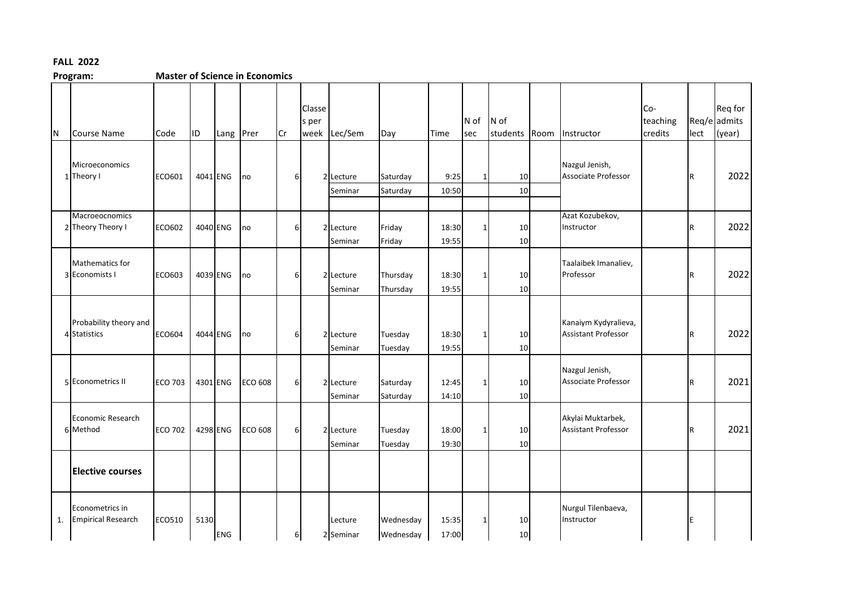## **FALL 2022**

**Master of Science in Economics** 

| N  | Course Name                                  | Code           | ID   | Lang Prer  |                | Cr               | Classe<br>s per<br>week | Lec/Sem              | Day                    | Time           | $N$ of<br>sec | N of<br>students Room | Instructor                                      | Co-<br>teaching<br>credits | lect                    | Req for<br>Req/e admits<br>(year) |
|----|----------------------------------------------|----------------|------|------------|----------------|------------------|-------------------------|----------------------|------------------------|----------------|---------------|-----------------------|-------------------------------------------------|----------------------------|-------------------------|-----------------------------------|
|    | Microeconomics<br>1 Theory I                 | ECO601         |      | 4041 ENG   | no             | 6                |                         | 2 Lecture<br>Seminar | Saturday<br>Saturday   | 9:25<br>10:50  | 1             | 10<br>10              | Nazgul Jenish,<br>Associate Professor           |                            | R                       | 2022                              |
|    | Macroeocnomics<br>2 Theory Theory I          | ECO602         |      | 4040 ENG   | no             | 6                |                         | 2 Lecture<br>Seminar | Friday<br>Friday       | 18:30<br>19:55 | $\mathbf{1}$  | 10<br>10              | Azat Kozubekov,<br>Instructor                   |                            | R                       | 2022                              |
|    | Mathematics for<br>3 Economists I            | ECO603         |      | 4039 ENG   | no             | 6                |                         | 2 Lecture<br>Seminar | Thursday<br>Thursday   | 18:30<br>19:55 | $\mathbf{1}$  | 10<br>10              | Taalaibek Imanaliev,<br>Professor               |                            | R                       | 2022                              |
|    | Probability theory and<br>4 Statistics       | <b>ECO604</b>  |      | 4044 ENG   | no             | 6                |                         | 2 Lecture<br>Seminar | Tuesday<br>Tuesday     | 18:30<br>19:55 | $\mathbf 1$   | 10<br>10              | Kanaiym Kydyralieva,<br>Assistant Professor     |                            | R                       | 2022                              |
|    | 5 Econometrics II                            | <b>ECO 703</b> |      | 4301 ENG   | <b>ECO 608</b> | $6 \overline{6}$ |                         | 2 Lecture<br>Seminar | Saturday<br>Saturday   | 12:45<br>14:10 | $\mathbf 1$   | 10<br>10              | Nazgul Jenish,<br>Associate Professor           |                            | $\overline{\mathsf{R}}$ | 2021                              |
|    | <b>Economic Research</b><br>6 Method         | <b>ECO 702</b> |      | 4298 ENG   | <b>ECO 608</b> | 6                |                         | 2 Lecture<br>Seminar | Tuesday<br>Tuesday     | 18:00<br>19:30 | $\mathbf{1}$  | 10<br>10              | Akylai Muktarbek,<br><b>Assistant Professor</b> |                            | R                       | 2021                              |
|    | <b>Elective courses</b>                      |                |      |            |                |                  |                         |                      |                        |                |               |                       |                                                 |                            |                         |                                   |
| 1. | Econometrics in<br><b>Empirical Research</b> | ECO510         | 5130 | <b>ENG</b> |                | 6                |                         | Lecture<br>2 Seminar | Wednesday<br>Wednesday | 15:35<br>17:00 | $\mathbf{1}$  | 10<br>10              | Nurgul Tilenbaeva,<br>Instructor                |                            |                         |                                   |